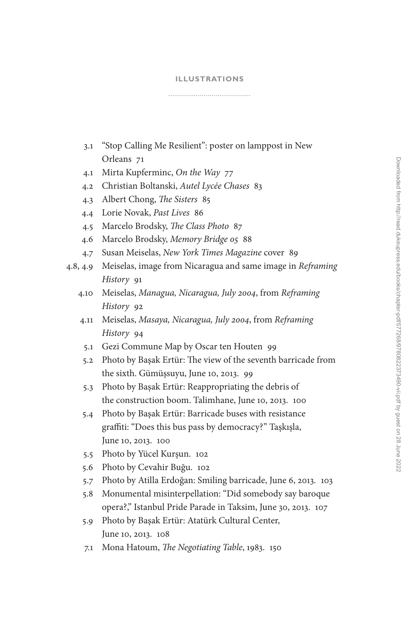## **[ILLUSTRATIONS](#page--1-0)**

3.1 ["Stop Calling Me Resilient": poster on lamppost in New](#page--1-0)  Orleans 71

- 4.1 [Mirta Kupferminc,](#page--1-0) *On the Way* 77
- 4.2 [Christian Boltanski,](#page--1-0) *Autel Lycée Chases* 83
- 4.3 [Albert Chong,](#page--1-0) *The Sisters* 85
- 4.4 [Lorie Novak,](#page--1-0) *Past Lives* 86
- 4.5 [Marcelo Brodsky,](#page--1-0) *The Class Photo* 87
- 4.6 [Marcelo Brodsky,](#page--1-0) *Memory Bridge 05* 88
- 4.7 Susan Meiselas, *[New York Times Magazine](#page--1-0)* cover 89
- 4.8, 4.9 [Meiselas, image from Nicaragua and same image in](#page--1-0) *Reframing History* 91
	- 4.10 Meiselas, *[Managua, Nicaragua, July 2004](#page--1-0)*, from *Reframing History* 92
	- 4.11 Meiselas, *[Masaya, Nicaragua, July 2004](#page--1-0)*, from *Reframing History* 94
		- 5.1 [Gezi Commune Map by Oscar ten Houten](#page--1-0) 99
		- 5.2 [Photo by Başak Ertür: The view of the seventh barricade from](#page--1-0)  the sixth. Gümüşsuyu, June 10, 2013. 99
		- 5.3 [Photo by Başak Ertür: Reappropriating the debris of](#page--1-0)  the construction boom. Talimhane, June 10, 2013. 100
	- 5.4 Photo by Başak Ertür: Barricade buses with resi s tance [graffiti: "Does this bus pass by democracy?" Taşkışla,](#page--1-0)  June 10, 2013. 100
	- 5.5 Photo by Yücel Kurşun. 10 2
	- 5.6 [Photo by Cevahir Buğu.](#page--1-0) 10 2
	- 5.7 [Photo by Atilla Erdoğan: Smiling barricade, June 6, 2013.](#page--1-0) 10 3
	- 5.8 [Monumental misinterpellation: "Did somebody say baroque](#page--1-0)  opera?," Istanbul Pride Parade in Taksim, June 30, 2013. 10 7
	- 5.9 [Photo by Başak Ertür: Atatürk Cultural Center,](#page--1-0)  June 10, 2013. 108
	- 7.1 Mona Hatoum, *[The Negotiating](#page--1-0)  Table*, 1983. 150